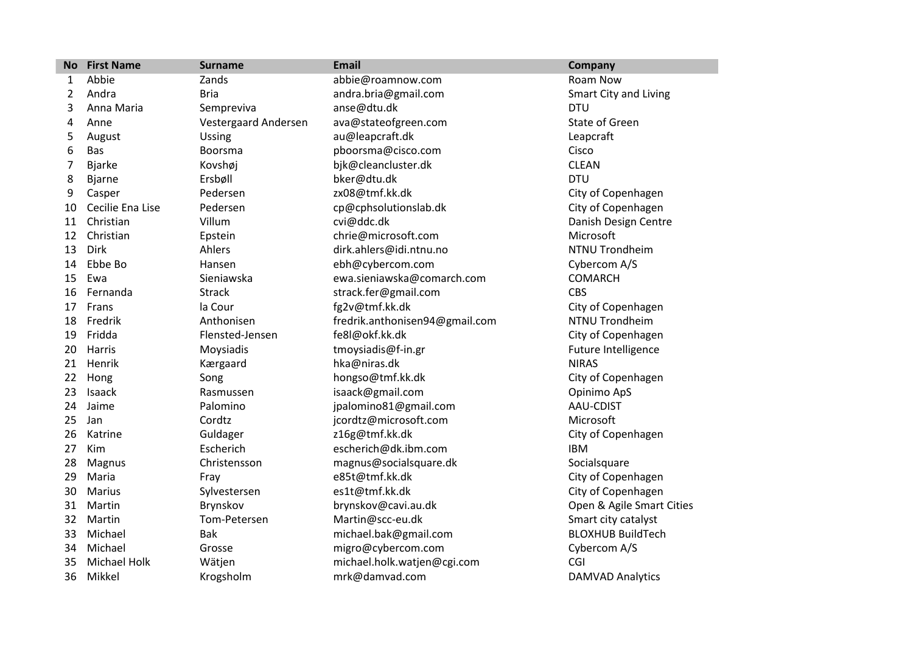| <b>No</b> | <b>First Name</b>   | <b>Surname</b>       | <b>Email</b>                   | Company                   |
|-----------|---------------------|----------------------|--------------------------------|---------------------------|
| 1         | Abbie               | Zands                | abbie@roamnow.com              | Roam Now                  |
| 2         | Andra               | <b>Bria</b>          | andra.bria@gmail.com           | Smart City and Living     |
| 3         | Anna Maria          | Sempreviva           | anse@dtu.dk                    | <b>DTU</b>                |
| 4         | Anne                | Vestergaard Andersen | ava@stateofgreen.com           | State of Green            |
| 5         | August              | <b>Ussing</b>        | au@leapcraft.dk                | Leapcraft                 |
| 6         | Bas                 | Boorsma              | pboorsma@cisco.com             | Cisco                     |
| 7         | <b>Bjarke</b>       | Kovshøj              | bjk@cleancluster.dk            | <b>CLEAN</b>              |
| 8         | <b>Bjarne</b>       | Ersbøll              | bker@dtu.dk                    | <b>DTU</b>                |
| 9         | Casper              | Pedersen             | zx08@tmf.kk.dk                 | City of Copenhagen        |
| 10        | Cecilie Ena Lise    | Pedersen             | cp@cphsolutionslab.dk          | City of Copenhagen        |
| 11        | Christian           | Villum               | cvi@ddc.dk                     | Danish Design Centre      |
| 12        | Christian           | Epstein              | chrie@microsoft.com            | Microsoft                 |
| 13        | <b>Dirk</b>         | Ahlers               | dirk.ahlers@idi.ntnu.no        | NTNU Trondheim            |
| 14        | Ebbe Bo             | Hansen               | ebh@cybercom.com               | Cybercom A/S              |
| 15        | Ewa                 | Sieniawska           | ewa.sieniawska@comarch.com     | <b>COMARCH</b>            |
| 16        | Fernanda            | <b>Strack</b>        | strack.fer@gmail.com           | <b>CBS</b>                |
| 17        | Frans               | la Cour              | fg2v@tmf.kk.dk                 | City of Copenhagen        |
| 18        | Fredrik             | Anthonisen           | fredrik.anthonisen94@gmail.com | NTNU Trondheim            |
| 19        | Fridda              | Flensted-Jensen      | fe8l@okf.kk.dk                 | City of Copenhagen        |
| 20        | Harris              | Moysiadis            | tmoysiadis@f-in.gr             | Future Intelligence       |
| 21        | Henrik              | Kærgaard             | hka@niras.dk                   | <b>NIRAS</b>              |
| 22        | Hong                | Song                 | hongso@tmf.kk.dk               | City of Copenhagen        |
| 23        | Isaack              | Rasmussen            | isaack@gmail.com               | Opinimo ApS               |
| 24        | Jaime               | Palomino             | jpalomino81@gmail.com          | AAU-CDIST                 |
| 25        | Jan                 | Cordtz               | jcordtz@microsoft.com          | Microsoft                 |
| 26        | Katrine             | Guldager             | z16g@tmf.kk.dk                 | City of Copenhagen        |
| 27        | Kim                 | Escherich            | escherich@dk.ibm.com           | <b>IBM</b>                |
| 28        | Magnus              | Christensson         | magnus@socialsquare.dk         | Socialsquare              |
| 29        | Maria               | Fray                 | e85t@tmf.kk.dk                 | City of Copenhagen        |
| 30        | Marius              | Sylvestersen         | es1t@tmf.kk.dk                 | City of Copenhagen        |
| 31        | Martin              | Brynskov             | brynskov@cavi.au.dk            | Open & Agile Smart Cities |
| 32        | Martin              | Tom-Petersen         | Martin@scc-eu.dk               | Smart city catalyst       |
| 33        | Michael             | Bak                  | michael.bak@gmail.com          | <b>BLOXHUB BuildTech</b>  |
| 34        | Michael             | Grosse               | migro@cybercom.com             | Cybercom A/S              |
| 35        | <b>Michael Holk</b> | Wätjen               | michael.holk.watjen@cgi.com    | CGI                       |
| 36        | Mikkel              | Krogsholm            | mrk@damvad.com                 | <b>DAMVAD Analytics</b>   |